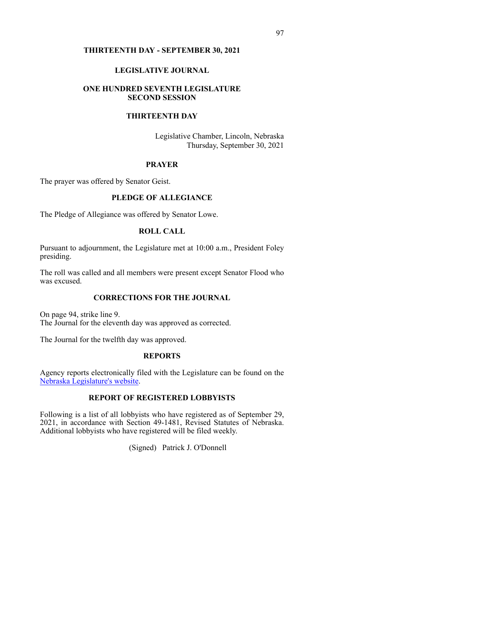#### **THIRTEENTH DAY - SEPTEMBER 30, 2021**

#### **LEGISLATIVE JOURNAL**

#### **ONE HUNDRED SEVENTH LEGISLATURE SECOND SESSION**

# **THIRTEENTH DAY**

Legislative Chamber, Lincoln, Nebraska Thursday, September 30, 2021

#### **PRAYER**

The prayer was offered by Senator Geist.

# **PLEDGE OF ALLEGIANCE**

The Pledge of Allegiance was offered by Senator Lowe.

# **ROLL CALL**

Pursuant to adjournment, the Legislature met at 10:00 a.m., President Foley presiding.

The roll was called and all members were present except Senator Flood who was excused.

# **CORRECTIONS FOR THE JOURNAL**

On page 94, strike line 9. The Journal for the eleventh day was approved as corrected.

The Journal for the twelfth day was approved.

#### **REPORTS**

Agency reports electr[on](http://www.nebraskalegislature.gov/agencies/view.php)ically filed with the Legislature can be found on the [Nebraska](http://www.nebraskalegislature.gov/agencies/view.php) [Legislature's](http://www.nebraskalegislature.gov/agencies/view.php) [website.](http://www.nebraskalegislature.gov/agencies/view.php)

# **REPORT OF REGISTERED LOBBYISTS**

Following is a list of all lobbyists who have registered as of September 29, 2021, in accordance with Section 49-1481, Revised Statutes of Nebraska. Additional lobbyists who have registered will be filed weekly.

(Signed) Patrick J. O'Donnell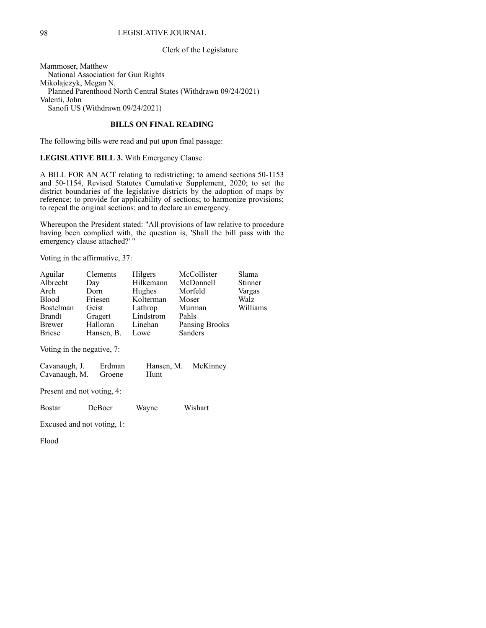### 98 LEGISLATIVE JOURNAL

#### Clerk of the Legislature

Mammoser, Matthew National Association for Gun Rights Mikolajczyk, Megan N. Planned Parenthood North Central States (Withdrawn 09/24/2021) Valenti, John Sanofi US (Withdrawn 09/24/2021)

# **BILLS ON FINAL READING**

The following bills were read and put upon final passage:

**LEGISLATIVE BILL 3.** With Emergency Clause.

A BILL FOR AN ACT relating to redistricting; to amend sections 50-1153 and 50-1154, Revised Statutes Cumulative Supplement, 2020; to set the district boundaries of the legislative districts by the adoption of maps by reference; to provide for applicability of sections; to harmonize provisions; to repeal the original sections; and to declare an emergency.

Whereupon the President stated: "All provisions of law relative to procedure having been complied with, the question is, 'Shall the bill pass with the emergency clause attached?' "

Voting in the affirmative, 37:

| Aguilar                                                                          | Clements   | Hilgers            | McCollister    | Slama    |  |
|----------------------------------------------------------------------------------|------------|--------------------|----------------|----------|--|
| Albrecht                                                                         | Day        | Hilkemann          | McDonnell      | Stinner  |  |
| Arch                                                                             | Dorn       | Hughes             | Morfeld        | Vargas   |  |
| <b>Blood</b>                                                                     | Friesen    | Kolterman          | Moser          | Walz     |  |
| Bostelman                                                                        | Geist      | Lathrop            | Murman         | Williams |  |
| Brandt                                                                           | Gragert    | Lindstrom          | Pahls          |          |  |
| <b>Brewer</b>                                                                    | Halloran   | Linehan            | Pansing Brooks |          |  |
| Briese                                                                           | Hansen, B. | Lowe               | Sanders        |          |  |
| Voting in the negative, 7:<br>Cavanaugh, J.<br>Erdman<br>Cavanaugh, M.<br>Groene |            | Hansen, M.<br>Hunt | McKinney       |          |  |
| Present and not voting, 4:                                                       |            |                    |                |          |  |
| Bostar                                                                           | DeBoer     | Wayne              | Wishart        |          |  |
| Excused and not voting, 1:                                                       |            |                    |                |          |  |

Flood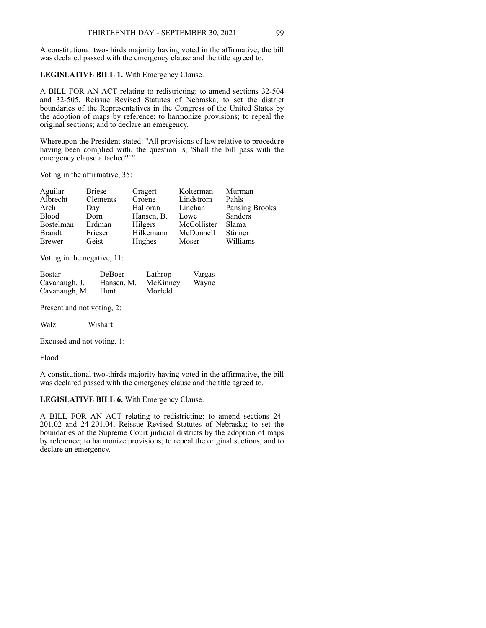A constitutional two-thirds majority having voted in the affirmative, the bill was declared passed with the emergency clause and the title agreed to.

### **LEGISLATIVE BILL 1.** With Emergency Clause.

A BILL FOR AN ACT relating to redistricting; to amend sections 32-504 and 32-505, Reissue Revised Statutes of Nebraska; to set the district boundaries of the Representatives in the Congress of the United States by the adoption of maps by reference; to harmonize provisions; to repeal the original sections; and to declare an emergency.

Whereupon the President stated: "All provisions of law relative to procedure having been complied with, the question is, 'Shall the bill pass with the emergency clause attached?' "

Voting in the affirmative, 35:

| Aguilar          | <b>Briese</b> | Gragert    | Kolterman   | Murman         |
|------------------|---------------|------------|-------------|----------------|
| Albrecht         | Clements      | Groene     | Lindstrom   | Pahls          |
| Arch             | Day           | Halloran   | Linehan     | Pansing Brooks |
| <b>Blood</b>     | Dorn          | Hansen, B. | Lowe        | <b>Sanders</b> |
| <b>Bostelman</b> | Erdman        | Hilgers    | McCollister | Slama          |
| <b>Brandt</b>    | Friesen       | Hilkemann  | McDonnell   | <b>Stinner</b> |
| <b>Brewer</b>    | Geist         | Hughes     | Moser       | Williams       |

Voting in the negative, 11:

| <b>Bostar</b> | DeBoer     | Lathrop  | Vargas |
|---------------|------------|----------|--------|
| Cavanaugh, J. | Hansen, M. | McKinney | Wayne  |
| Cavanaugh, M. | Hunt       | Morfeld  |        |

Present and not voting, 2:

Walz Wishart

Excused and not voting, 1:

Flood

A constitutional two-thirds majority having voted in the affirmative, the bill was declared passed with the emergency clause and the title agreed to.

# **LEGISLATIVE BILL 6.** With Emergency Clause.

A BILL FOR AN ACT relating to redistricting; to amend sections 24- 201.02 and 24-201.04, Reissue Revised Statutes of Nebraska; to set the boundaries of the Supreme Court judicial districts by the adoption of maps by reference; to harmonize provisions; to repeal the original sections; and to declare an emergency.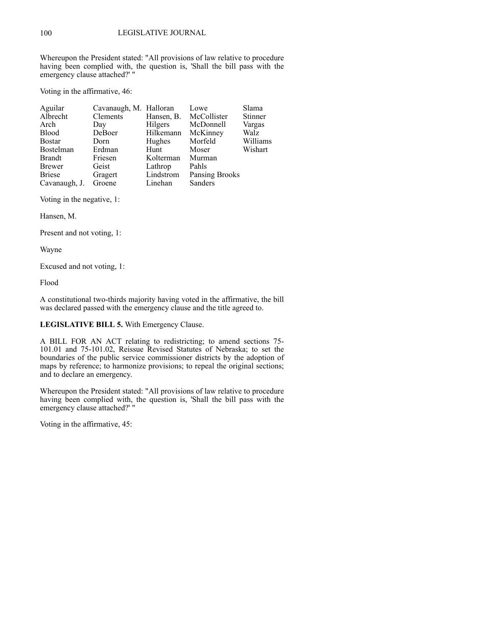Whereupon the President stated: "All provisions of law relative to procedure having been complied with, the question is, 'Shall the bill pass with the emergency clause attached?' "

Voting in the affirmative, 46:

| Aguilar       | Cavanaugh, M. Halloran |                | Lowe           | Slama          |
|---------------|------------------------|----------------|----------------|----------------|
| Albrecht      | Clements               | Hansen, B.     | McCollister    | <b>Stinner</b> |
| Arch          | Day                    | <b>Hilgers</b> | McDonnell      | Vargas         |
| <b>Blood</b>  | DeBoer                 | Hilkemann      | McKinney       | Walz           |
| <b>Bostar</b> | Dorn                   | Hughes         | Morfeld        | Williams       |
| Bostelman     | Erdman                 | Hunt           | Moser          | Wishart        |
| Brandt        | Friesen                | Kolterman      | Murman         |                |
| Brewer        | Geist                  | Lathrop        | Pahls          |                |
| <b>Briese</b> | Gragert                | Lindstrom      | Pansing Brooks |                |
| Cavanaugh, J. | Groene                 | Linehan        | Sanders        |                |

Voting in the negative, 1:

Hansen, M.

Present and not voting, 1:

Wayne

Excused and not voting, 1:

Flood

A constitutional two-thirds majority having voted in the affirmative, the bill was declared passed with the emergency clause and the title agreed to.

# **LEGISLATIVE BILL 5.** With Emergency Clause.

A BILL FOR AN ACT relating to redistricting; to amend sections 75- 101.01 and 75-101.02, Reissue Revised Statutes of Nebraska; to set the boundaries of the public service commissioner districts by the adoption of maps by reference; to harmonize provisions; to repeal the original sections; and to declare an emergency.

Whereupon the President stated: "All provisions of law relative to procedure having been complied with, the question is, 'Shall the bill pass with the emergency clause attached?' "

Voting in the affirmative, 45: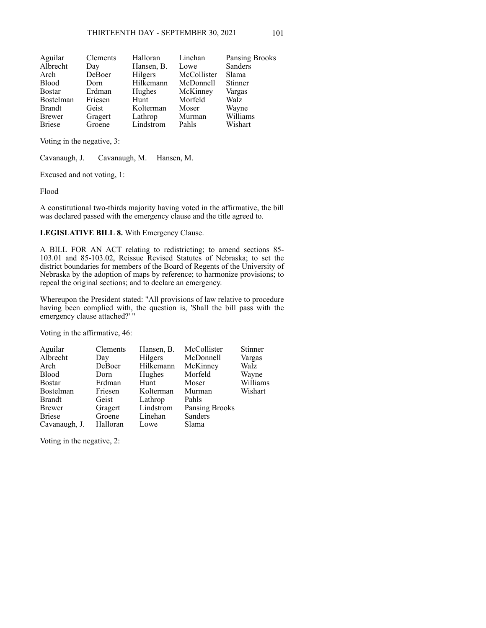| Clements | Halloran   | Linehan     | Pansing Brooks |
|----------|------------|-------------|----------------|
| Day      | Hansen, B. | Lowe        | Sanders        |
| DeBoer   | Hilgers    | McCollister | Slama          |
| Dorn     | Hilkemann  | McDonnell   | Stinner        |
| Erdman   | Hughes     | McKinney    | Vargas         |
| Friesen  | Hunt       | Morfeld     | Walz           |
| Geist    | Kolterman  | Moser       | Wayne          |
| Gragert  | Lathrop    | Murman      | Williams       |
| Groene   | Lindstrom  | Pahls       | Wishart        |
|          |            |             |                |

Voting in the negative, 3:

Cavanaugh, J. Cavanaugh, M. Hansen, M.

Excused and not voting, 1:

Flood

A constitutional two-thirds majority having voted in the affirmative, the bill was declared passed with the emergency clause and the title agreed to.

# **LEGISLATIVE BILL 8.** With Emergency Clause.

A BILL FOR AN ACT relating to redistricting; to amend sections 85- 103.01 and 85-103.02, Reissue Revised Statutes of Nebraska; to set the district boundaries for members of the Board of Regents of the University of Nebraska by the adoption of maps by reference; to harmonize provisions; to repeal the original sections; and to declare an emergency.

Whereupon the President stated: "All provisions of law relative to procedure having been complied with, the question is, 'Shall the bill pass with the emergency clause attached?' "

Voting in the affirmative, 46:

| Aguilar       | Clements | Hansen, B. | McCollister    | Stinner  |
|---------------|----------|------------|----------------|----------|
| Albrecht      | Day      | Hilgers    | McDonnell      | Vargas   |
| Arch          | DeBoer   | Hilkemann  | McKinney       | Walz     |
| <b>Blood</b>  | Dorn     | Hughes     | Morfeld        | Wayne    |
| <b>Bostar</b> | Erdman   | Hunt       | Moser          | Williams |
| Bostelman     | Friesen  | Kolterman  | Murman         | Wishart  |
| Brandt        | Geist    | Lathrop    | Pahls          |          |
| Brewer        | Gragert  | Lindstrom  | Pansing Brooks |          |
| <b>Briese</b> | Groene   | Linehan    | Sanders        |          |
| Cavanaugh, J. | Halloran | Lowe       | Slama          |          |

Voting in the negative, 2: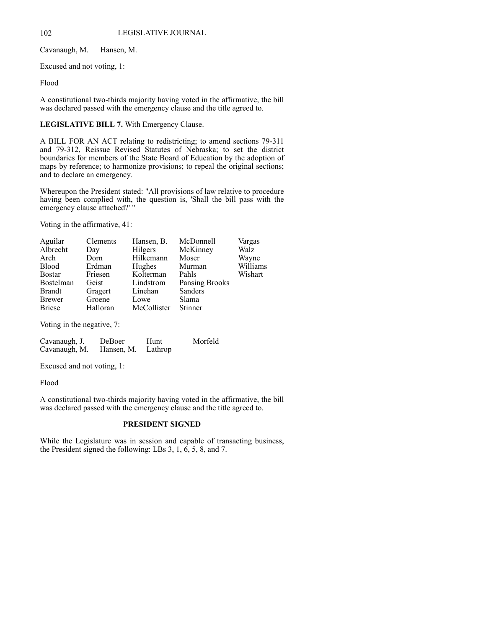Cavanaugh, M. Hansen, M.

Excused and not voting, 1:

Flood

A constitutional two-thirds majority having voted in the affirmative, the bill was declared passed with the emergency clause and the title agreed to.

### **LEGISLATIVE BILL 7.** With Emergency Clause.

A BILL FOR AN ACT relating to redistricting; to amend sections 79-311 and 79-312, Reissue Revised Statutes of Nebraska; to set the district boundaries for members of the State Board of Education by the adoption of maps by reference; to harmonize provisions; to repeal the original sections; and to declare an emergency.

Whereupon the President stated: "All provisions of law relative to procedure having been complied with, the question is, 'Shall the bill pass with the emergency clause attached?' "

Voting in the affirmative, 41:

| Aguilar                                         | Clements | Hansen, B.  | McDonnell             | Vargas   |
|-------------------------------------------------|----------|-------------|-----------------------|----------|
| Albrecht                                        | Day      | Hilgers     | McKinney              | Walz     |
| Arch                                            | Dorn     | Hilkemann   | Moser                 | Wayne    |
| <b>Blood</b>                                    | Erdman   | Hughes      | Murman                | Williams |
| <b>Bostar</b>                                   | Friesen  | Kolterman   | Pahls                 | Wishart  |
| Bostelman                                       | Geist    | Lindstrom   | <b>Pansing Brooks</b> |          |
| Brandt                                          | Gragert  | Linehan     | Sanders               |          |
| Brewer                                          | Groene   | Lowe        | Slama                 |          |
| <b>Briese</b>                                   | Halloran | McCollister | Stinner               |          |
|                                                 |          |             |                       |          |
| $\mathbf{v}$ , and the contract of $\mathbf{v}$ |          |             |                       |          |

Voting in the negative, 7:

| Cavanaugh, J. | DeBoer             | Hunt | Morfeld |
|---------------|--------------------|------|---------|
| Cavanaugh, M. | Hansen, M. Lathrop |      |         |

Excused and not voting, 1:

Flood

A constitutional two-thirds majority having voted in the affirmative, the bill was declared passed with the emergency clause and the title agreed to.

### **PRESIDENT SIGNED**

While the Legislature was in session and capable of transacting business, the President signed the following: LBs 3, 1, 6, 5, 8, and 7.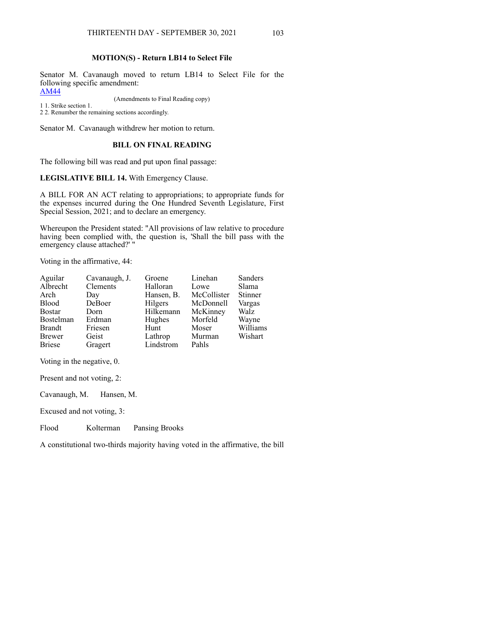# **MOTION(S) - Return LB14 to Select File**

Senator M. Cavanaugh moved to return LB14 to Select File for the following specific amendment:

[AM44](https://www.nebraskalegislature.gov/FloorDocs/107/PDF/AM/AM44.pdf)

(Amendments to Final Reading copy)

1 1. Strike section 1.

2 2. Renumber the remaining sections accordingly.

Senator M. Cavanaugh withdrew her motion to return.

## **BILL ON FINAL READING**

The following bill was read and put upon final passage:

**LEGISLATIVE BILL 14.** With Emergency Clause.

A BILL FOR AN ACT relating to appropriations; to appropriate funds for the expenses incurred during the One Hundred Seventh Legislature, First Special Session, 2021; and to declare an emergency.

Whereupon the President stated: "All provisions of law relative to procedure having been complied with, the question is, 'Shall the bill pass with the emergency clause attached?' "

Voting in the affirmative, 44:

| Aguilar       | Cavanaugh, J. | Groene     | Linehan     | Sanders  |
|---------------|---------------|------------|-------------|----------|
| Albrecht      | Clements      | Halloran   | Lowe        | Slama    |
| Arch          | Day           | Hansen, B. | McCollister | Stinner  |
| <b>Blood</b>  | DeBoer        | Hilgers    | McDonnell   | Vargas   |
| <b>Bostar</b> | Dorn          | Hilkemann  | McKinney    | Walz     |
| Bostelman     | Erdman        | Hughes     | Morfeld     | Wayne    |
| <b>Brandt</b> | Friesen       | Hunt       | Moser       | Williams |
| <b>Brewer</b> | Geist         | Lathrop    | Murman      | Wishart  |
| <b>Briese</b> | Gragert       | Lindstrom  | Pahls       |          |

Voting in the negative, 0.

Present and not voting, 2:

Cavanaugh, M. Hansen, M.

Excused and not voting, 3:

Flood Kolterman Pansing Brooks

A constitutional two-thirds majority having voted in the affirmative, the bill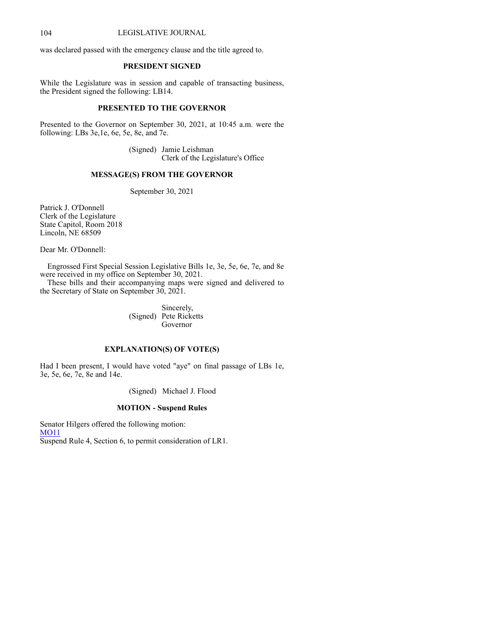### 104 LEGISLATIVE JOURNAL

was declared passed with the emergency clause and the title agreed to.

# **PRESIDENT SIGNED**

While the Legislature was in session and capable of transacting business, the President signed the following: LB14.

## **PRESENTED TO THE GOVERNOR**

Presented to the Governor on September 30, 2021, at 10:45 a.m. were the following: LBs 3e,1e, 6e, 5e, 8e, and 7e.

> (Signed) Jamie Leishman Clerk of the Legislature's Office

# **MESSAGE(S) FROM THE GOVERNOR**

September 30, 2021

Patrick J. O'Donnell Clerk of the Legislature State Capitol, Room 2018 Lincoln, NE 68509

Dear Mr. O'Donnell:

Engrossed First Special Session Legislative Bills 1e, 3e, 5e, 6e, 7e, and 8e were received in my office on September 30, 2021.

These bills and their accompanying maps were signed and delivered to the Secretary of State on September 30, 2021.

> Sincerely, (Signed) Pete Ricketts Governor

# **EXPLANATION(S) OF VOTE(S)**

Had I been present, I would have voted "aye" on final passage of LBs 1e, 3e, 5e, 6e, 7e, 8e and 14e.

(Signed) Michael J. Flood

#### **MOTION - Suspend Rules**

Senator Hilgers offered the following motion: [MO11](https://www.nebraskalegislature.gov/FloorDocs/107/PDF/AM/MO11.pdf) Suspend Rule 4, Section 6, to permit consideration of LR1.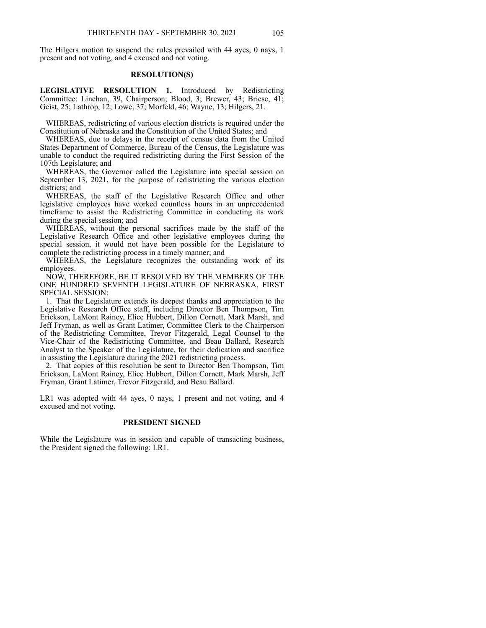The Hilgers motion to suspend the rules prevailed with 44 ayes, 0 nays, 1 present and not voting, and 4 excused and not voting.

#### **RESOLUTION(S)**

**LEGISLATIVE RESOLUTION 1.** Introduced by Redistricting Committee: Linehan, 39, Chairperson; Blood, 3; Brewer, 43; Briese, 41; Geist, 25; Lathrop, 12; Lowe, 37; Morfeld, 46; Wayne, 13; Hilgers, 21.

 WHEREAS, redistricting of various election districts is required under the Constitution of Nebraska and the Constitution of the United States; and

 WHEREAS, due to delays in the receipt of census data from the United States Department of Commerce, Bureau of the Census, the Legislature was unable to conduct the required redistricting during the First Session of the 107th Legislature; and

 WHEREAS, the Governor called the Legislature into special session on September 13, 2021, for the purpose of redistricting the various election districts; and

 WHEREAS, the staff of the Legislative Research Office and other legislative employees have worked countless hours in an unprecedented timeframe to assist the Redistricting Committee in conducting its work during the special session; and

 WHEREAS, without the personal sacrifices made by the staff of the Legislative Research Office and other legislative employees during the special session, it would not have been possible for the Legislature to complete the redistricting process in a timely manner; and

 WHEREAS, the Legislature recognizes the outstanding work of its employees.

 NOW, THEREFORE, BE IT RESOLVED BY THE MEMBERS OF THE ONE HUNDRED SEVENTH LEGISLATURE OF NEBRASKA, FIRST SPECIAL SESSION:

 1. That the Legislature extends its deepest thanks and appreciation to the Legislative Research Office staff, including Director Ben Thompson, Tim Erickson, LaMont Rainey, Elice Hubbert, Dillon Cornett, Mark Marsh, and Jeff Fryman, as well as Grant Latimer, Committee Clerk to the Chairperson of the Redistricting Committee, Trevor Fitzgerald, Legal Counsel to the Vice-Chair of the Redistricting Committee, and Beau Ballard, Research Analyst to the Speaker of the Legislature, for their dedication and sacrifice in assisting the Legislature during the 2021 redistricting process.

 2. That copies of this resolution be sent to Director Ben Thompson, Tim Erickson, LaMont Rainey, Elice Hubbert, Dillon Cornett, Mark Marsh, Jeff Fryman, Grant Latimer, Trevor Fitzgerald, and Beau Ballard.

LR1 was adopted with 44 ayes, 0 nays, 1 present and not voting, and 4 excused and not voting.

#### **PRESIDENT SIGNED**

While the Legislature was in session and capable of transacting business, the President signed the following: LR1.